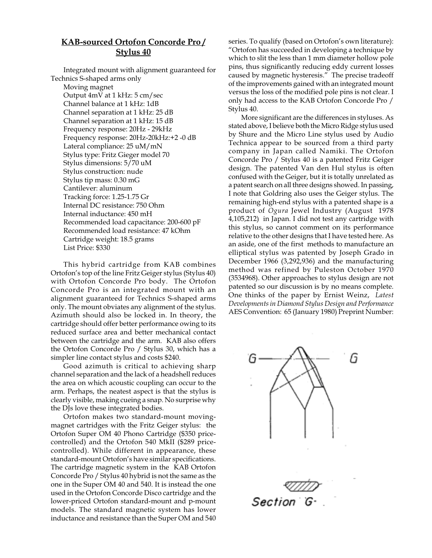## **KAB-sourced Ortofon Concorde Pro / Stylus 40**

Integrated mount with alignment guaranteed for Technics S-shaped arms only

Moving magnet Output 4mV at 1 kHz: 5 cm/sec Channel balance at 1 kHz: 1dB Channel separation at 1 kHz: 25 dB Channel separation at 1 kHz: 15 dB Frequency response: 20Hz - 29kHz Frequency response: 20Hz-20kHz:+2 -0 dB Lateral compliance: 25 uM/mN Stylus type: Fritz Gieger model 70 Stylus dimensions: 5/70 uM Stylus construction: nude Stylus tip mass: 0.30 mG Cantilever: aluminum Tracking force: 1.25-1.75 Gr Internal DC resistance: 750 Ohm Internal inductance: 450 mH Recommended load capacitance: 200-600 pF Recommended load resistance: 47 kOhm Cartridge weight: 18.5 grams List Price: \$330

This hybrid cartridge from KAB combines Ortofon's top of the line Fritz Geiger stylus (Stylus 40) with Ortofon Concorde Pro body. The Ortofon Concorde Pro is an integrated mount with an alignment guaranteed for Technics S-shaped arms only. The mount obviates any alignment of the stylus. Azimuth should also be locked in. In theory, the cartridge should offer better performance owing to its reduced surface area and better mechanical contact between the cartridge and the arm. KAB also offers the Ortofon Concorde Pro / Stylus 30, which has a simpler line contact stylus and costs \$240.

Good azimuth is critical to achieving sharp channel separation and the lack of a headshell reduces the area on which acoustic coupling can occur to the arm. Perhaps, the neatest aspect is that the stylus is clearly visible, making cueing a snap. No surprise why the DJs love these integrated bodies.

Ortofon makes two standard-mount movingmagnet cartridges with the Fritz Geiger stylus: the Ortofon Super OM 40 Phono Cartridge (\$350 pricecontrolled) and the Ortofon 540 MkII (\$289 pricecontrolled). While different in appearance, these standard-mount Ortofon's have similar specifications. The cartridge magnetic system in the KAB Ortofon Concorde Pro / Stylus 40 hybrid is not the same as the one in the Super OM 40 and 540. It is instead the one used in the Ortofon Concorde Disco cartridge and the lower-priced Ortofon standard-mount and p-mount models. The standard magnetic system has lower inductance and resistance than the Super OM and 540

series. To qualify (based on Ortofon's own literature): "Ortofon has succeeded in developing a technique by which to slit the less than 1 mm diameter hollow pole pins, thus significantly reducing eddy current losses caused by magnetic hysteresis." The precise tradeoff of the improvements gained with an integrated mount versus the loss of the modified pole pins is not clear. I only had access to the KAB Ortofon Concorde Pro / Stylus 40.

More significant are the differences in styluses. As stated above, I believe both the Micro Ridge stylus used by Shure and the Micro Line stylus used by Audio Technica appear to be sourced from a third party company in Japan called Namiki. The Ortofon Concorde Pro / Stylus 40 is a patented Fritz Geiger design. The patented Van den Hul stylus is often confused with the Geiger, but it is totally unrelated as a patent search on all three designs showed. In passing, I note that Goldring also uses the Geiger stylus. The remaining high-end stylus with a patented shape is a product of *Ogura* Jewel Industry (August 1978 4,105,212) in Japan. I did not test any cartridge with this stylus, so cannot comment on its performance relative to the other designs that I have tested here. As an aside, one of the first methods to manufacture an elliptical stylus was patented by Joseph Grado in December 1966 (3,292,936) and the manufacturing method was refined by Puleston October 1970 (3534968). Other approaches to stylus design are not patented so our discussion is by no means complete. One thinks of the paper by Ernist Weinz, *Latest Developments in Diamond Stylus Design and Performance* AES Convention: 65 (January 1980) Preprint Number: